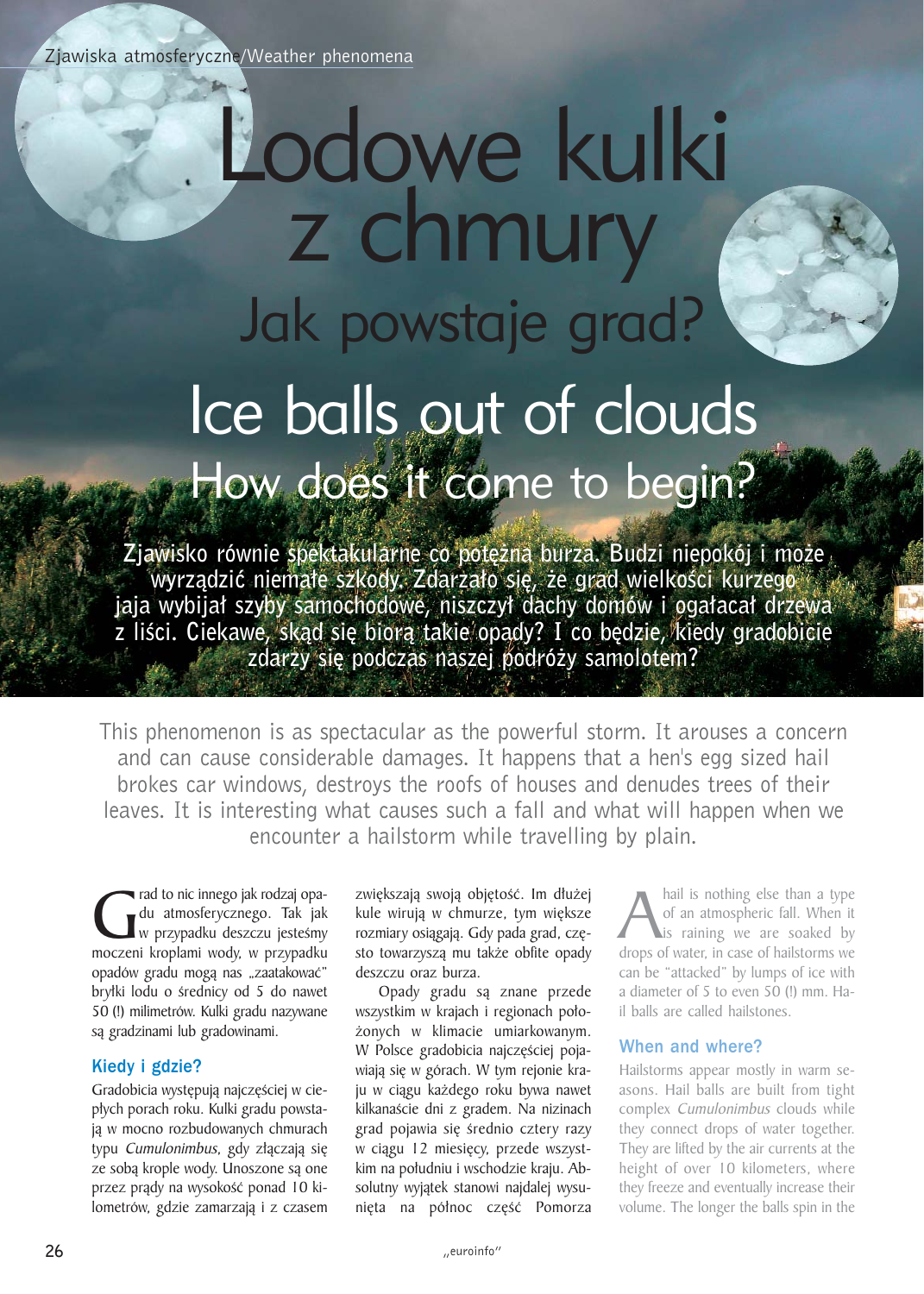# Lodowe kulki z chmury Jak powstaje grad? Ice balls out of clouds How does it come to begin?

Zjawisko równie spektakularne co potężna burza. Budzi niepokój i może wyrządzić niemałe szkody. Zdarzało się, że grad wielkości kurzego jaja wybijał szyby samochodowe, niszczył dachy domów i ogałacał drzewa z liści. Ciekawe, skąd się biorą takie opady? I co będzie, kiedy gradobicie zdarzy się podczas naszej podróży samolotem?

This phenomenon is as spectacular as the powerful storm. It arouses a concern and can cause considerable damages. It happens that a hen's egg sized hail brokes car windows, destroys the roofs of houses and denudes trees of their leaves. It is interesting what causes such a fall and what will happen when we encounter a hailstorm while travelling by plain.

Grad to nic innego jak rodzaj opa-<br>du atmosferycznego. Tak jak<br>moczeni kroplami wody, w przypadku du atmosferycznego. Tak jak  $\blacksquare$  w przypadku deszczu jesteśmy opadów gradu mogą nas "zaatakować" bryłki lodu o średnicy od 5 do nawet 50 (!) milimetrów. Kulki gradu nazywane są gradzinami lub gradowinami.

# Kiedy i gdzie?

Gradobicia występują najczęściej w ciepłych porach roku. Kulki gradu powstają w mocno rozbudowanych chmurach typu Cumulonimbus, gdy złączają się ze sobą krople wody. Unoszone są one przez prądy na wysokość ponad 10 kilometrów, gdzie zamarzają i z czasem

zwiększają swoją objętość. Im dłużej kule wirują w chmurze, tym większe rozmiary osiągają. Gdy pada grad, często towarzysza mu także obfite opady deszczu oraz burza.

Opady gradu są znane przede wszystkim w krajach i regionach poło-¿onych w klimacie umiarkowanym. W Polsce gradobicia najczęściej pojawiają się w górach. W tym rejonie kraju w ciągu każdego roku bywa nawet kilkanaście dni z gradem. Na nizinach grad pojawia się średnio cztery razy w ciągu 12 miesięcy, przede wszystkim na południu i wschodzie kraju. Absolutny wyjątek stanowi najdalej wysunieta na północ część Pomorza

A hail is nothing else than a type<br>of an atmospheric fall. When it<br>drops of water, in case of hailstorms we of an atmospheric fall. When it is raining we are soaked by can be "attacked" by lumps of ice with a diameter of 5 to even 50 (!) mm. Hail balls are called hailstones.

# When and where?

Hailstorms appear mostly in warm seasons. Hail balls are built from tight complex Cumulonimbus clouds while they connect drops of water together. They are lifted by the air currents at the height of over 10 kilometers, where they freeze and eventually increase their volume. The longer the balls spin in the